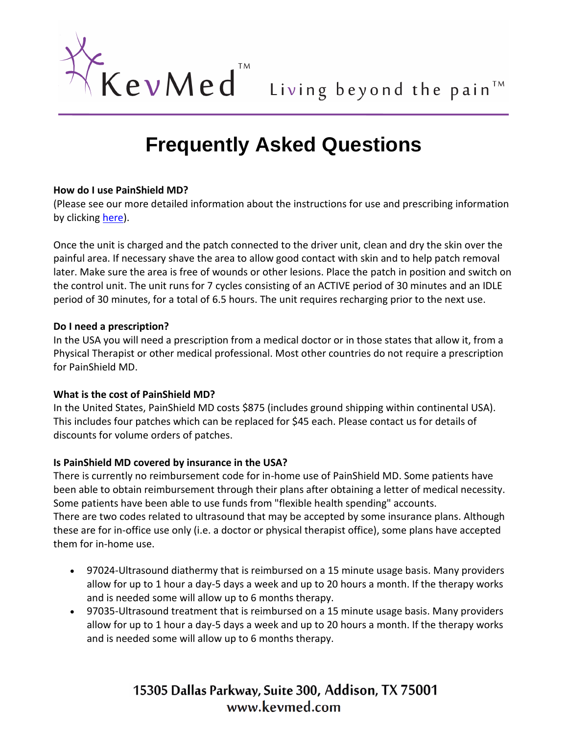

# **Frequently Asked Questions**

#### **How do I use PainShield MD?**

(Please see our more detailed information about the instructions for use and prescribing information by clicking [here\)](http://www.kevmed.com/UsingPainShield.html).

Once the unit is charged and the patch connected to the driver unit, clean and dry the skin over the painful area. If necessary shave the area to allow good contact with skin and to help patch removal later. Make sure the area is free of wounds or other lesions. Place the patch in position and switch on the control unit. The unit runs for 7 cycles consisting of an ACTIVE period of 30 minutes and an IDLE period of 30 minutes, for a total of 6.5 hours. The unit requires recharging prior to the next use.

#### **Do I need a prescription?**

In the USA you will need a prescription from a medical doctor or in those states that allow it, from a Physical Therapist or other medical professional. Most other countries do not require a prescription for PainShield MD.

#### **What is the cost of PainShield MD?**

In the United States, PainShield MD costs \$875 (includes ground shipping within continental USA). This includes four patches which can be replaced for \$45 each. Please contact us for details of discounts for volume orders of patches.

#### **Is PainShield MD covered by insurance in the USA?**

There is currently no reimbursement code for in-home use of PainShield MD. Some patients have been able to obtain reimbursement through their plans after obtaining a letter of medical necessity. Some patients have been able to use funds from "flexible health spending" accounts. There are two codes related to ultrasound that may be accepted by some insurance plans. Although these are for in-office use only (i.e. a doctor or physical therapist office), some plans have accepted them for in-home use.

- 97024-Ultrasound diathermy that is reimbursed on a 15 minute usage basis. Many providers allow for up to 1 hour a day-5 days a week and up to 20 hours a month. If the therapy works and is needed some will allow up to 6 months therapy.
- 97035-Ultrasound treatment that is reimbursed on a 15 minute usage basis. Many providers allow for up to 1 hour a day-5 days a week and up to 20 hours a month. If the therapy works and is needed some will allow up to 6 months therapy.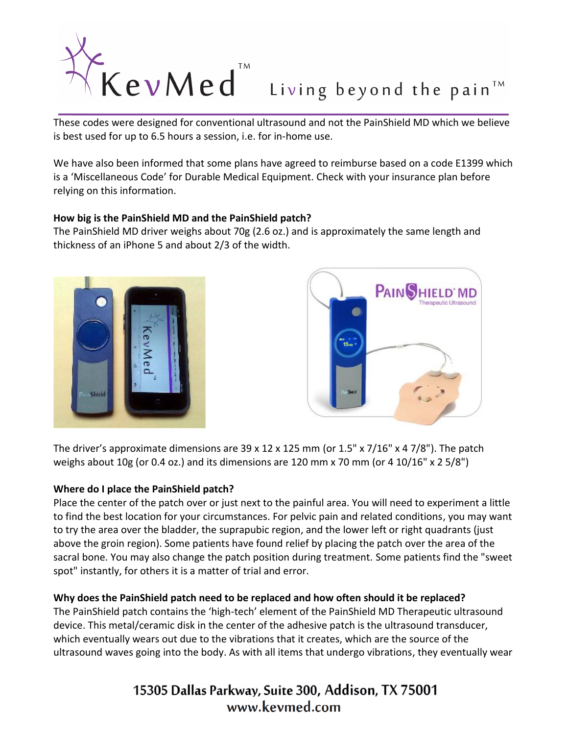

is best used for up to 6.5 hours a session, i.e. for in-home use.

We have also been informed that some plans have agreed to reimburse based on a code E1399 which is a 'Miscellaneous Code' for Durable Medical Equipment. Check with your insurance plan before relying on this information.

#### **How big is the PainShield MD and the PainShield patch?**

The PainShield MD driver weighs about 70g (2.6 oz.) and is approximately the same length and thickness of an iPhone 5 and about 2/3 of the width.





The driver's approximate dimensions are 39 x 12 x 125 mm (or 1.5" x 7/16" x 4 7/8"). The patch weighs about 10g (or 0.4 oz.) and its dimensions are 120 mm x 70 mm (or 4 10/16" x 2 5/8")

#### **Where do I place the PainShield patch?**

Place the center of the patch over or just next to the painful area. You will need to experiment a little to find the best location for your circumstances. For pelvic pain and related conditions, you may want to try the area over the bladder, the suprapubic region, and the lower left or right quadrants (just above the groin region). Some patients have found relief by placing the patch over the area of the sacral bone. You may also change the patch position during treatment. Some patients find the "sweet spot" instantly, for others it is a matter of trial and error.

#### **Why does the PainShield patch need to be replaced and how often should it be replaced?**

The PainShield patch contains the 'high-tech' element of the PainShield MD Therapeutic ultrasound device. This metal/ceramic disk in the center of the adhesive patch is the ultrasound transducer, which eventually wears out due to the vibrations that it creates, which are the source of the ultrasound waves going into the body. As with all items that undergo vibrations, they eventually wear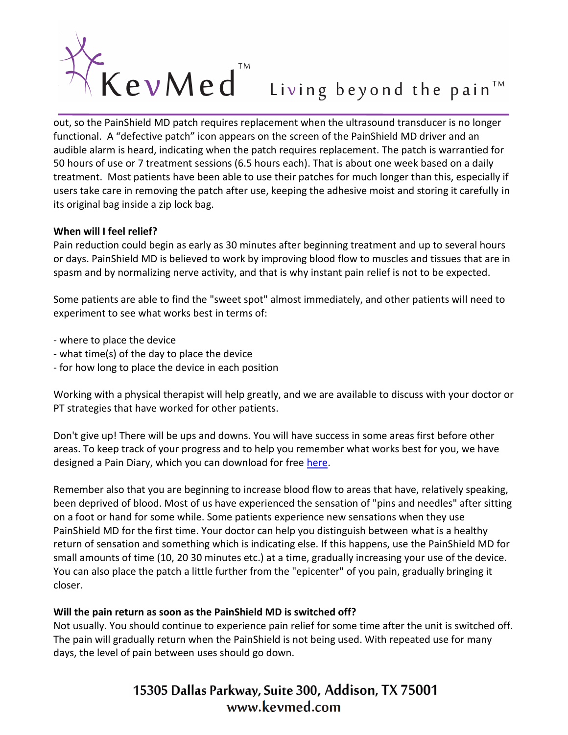

functional. A "defective patch" icon appears on the screen of the PainShield MD driver and an audible alarm is heard, indicating when the patch requires replacement. The patch is warrantied for 50 hours of use or 7 treatment sessions (6.5 hours each). That is about one week based on a daily treatment. Most patients have been able to use their patches for much longer than this, especially if users take care in removing the patch after use, keeping the adhesive moist and storing it carefully in its original bag inside a zip lock bag.

#### **When will I feel relief?**

Pain reduction could begin as early as 30 minutes after beginning treatment and up to several hours or days. PainShield MD is believed to work by improving blood flow to muscles and tissues that are in spasm and by normalizing nerve activity, and that is why instant pain relief is not to be expected.

Some patients are able to find the "sweet spot" almost immediately, and other patients will need to experiment to see what works best in terms of:

- where to place the device
- what time(s) of the day to place the device
- for how long to place the device in each position

Working with a physical therapist will help greatly, and we are available to discuss with your doctor or PT strategies that have worked for other patients.

Don't give up! There will be ups and downs. You will have success in some areas first before other areas. To keep track of your progress and to help you remember what works best for you, we have designed a Pain Diary, which you can download for free [here.](http://www.kevmed.com/PainDiary.html)

Remember also that you are beginning to increase blood flow to areas that have, relatively speaking, been deprived of blood. Most of us have experienced the sensation of "pins and needles" after sitting on a foot or hand for some while. Some patients experience new sensations when they use PainShield MD for the first time. Your doctor can help you distinguish between what is a healthy return of sensation and something which is indicating else. If this happens, use the PainShield MD for small amounts of time (10, 20 30 minutes etc.) at a time, gradually increasing your use of the device. You can also place the patch a little further from the "epicenter" of you pain, gradually bringing it closer.

#### **Will the pain return as soon as the PainShield MD is switched off?**

Not usually. You should continue to experience pain relief for some time after the unit is switched off. The pain will gradually return when the PainShield is not being used. With repeated use for many days, the level of pain between uses should go down.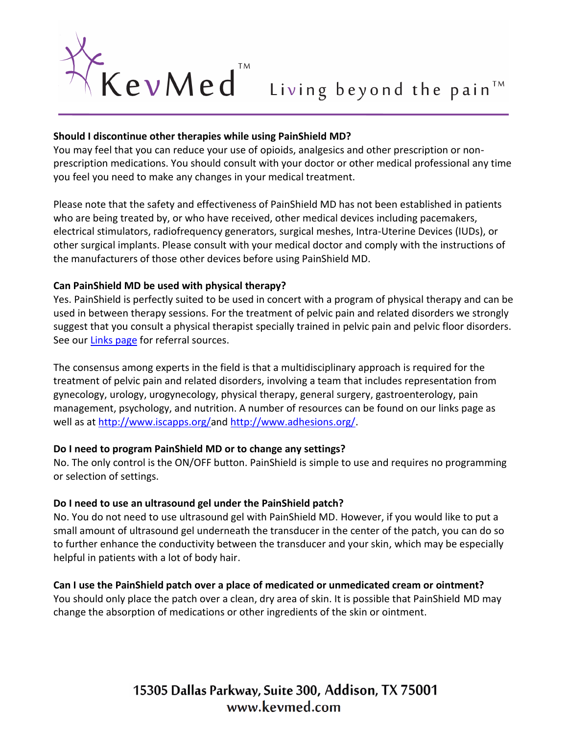

#### **Should I discontinue other therapies while using PainShield MD?**

You may feel that you can reduce your use of opioids, analgesics and other prescription or nonprescription medications. You should consult with your doctor or other medical professional any time you feel you need to make any changes in your medical treatment.

Please note that the safety and effectiveness of PainShield MD has not been established in patients who are being treated by, or who have received, other medical devices including pacemakers, electrical stimulators, radiofrequency generators, surgical meshes, Intra-Uterine Devices (IUDs), or other surgical implants. Please consult with your medical doctor and comply with the instructions of the manufacturers of those other devices before using PainShield MD.

#### **Can PainShield MD be used with physical therapy?**

Yes. PainShield is perfectly suited to be used in concert with a program of physical therapy and can be used in between therapy sessions. For the treatment of pelvic pain and related disorders we strongly suggest that you consult a physical therapist specially trained in pelvic pain and pelvic floor disorders. See our [Links page](http://www.kevmed.com/Links.html) for referral sources.

The consensus among experts in the field is that a multidisciplinary approach is required for the treatment of pelvic pain and related disorders, involving a team that includes representation from gynecology, urology, urogynecology, physical therapy, general surgery, gastroenterology, pain management, psychology, and nutrition. A number of resources can be found on our links page as well as at [http://www.iscapps.org/a](http://www.iscapps.org/)nd [http://www.adhesions.org/.](http://www.adhesions.org/)

#### **Do I need to program PainShield MD or to change any settings?**

No. The only control is the ON/OFF button. PainShield is simple to use and requires no programming or selection of settings.

#### **Do I need to use an ultrasound gel under the PainShield patch?**

No. You do not need to use ultrasound gel with PainShield MD. However, if you would like to put a small amount of ultrasound gel underneath the transducer in the center of the patch, you can do so to further enhance the conductivity between the transducer and your skin, which may be especially helpful in patients with a lot of body hair.

#### **Can I use the PainShield patch over a place of medicated or unmedicated cream or ointment?**

You should only place the patch over a clean, dry area of skin. It is possible that PainShield MD may change the absorption of medications or other ingredients of the skin or ointment.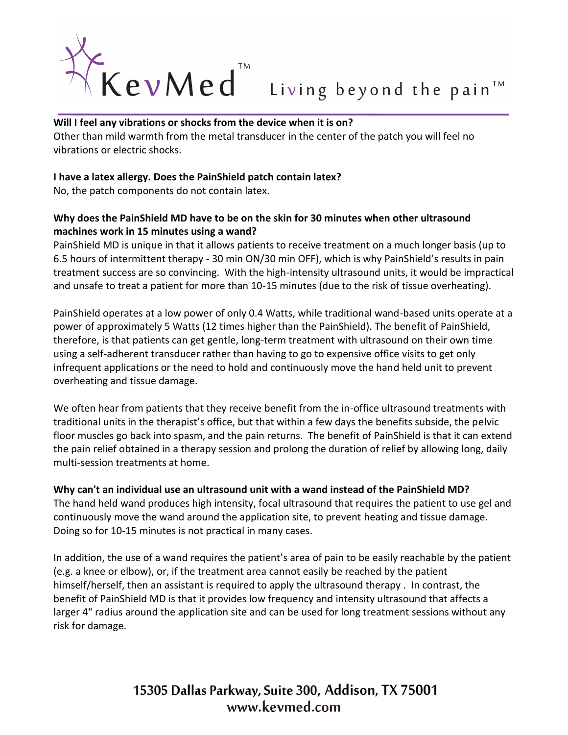

Other than mild warmth from the metal transducer in the center of the patch you will feel no vibrations or electric shocks.

#### **I have a latex allergy. Does the PainShield patch contain latex?**

No, the patch components do not contain latex.

### **Why does the PainShield MD have to be on the skin for 30 minutes when other ultrasound machines work in 15 minutes using a wand?**

PainShield MD is unique in that it allows patients to receive treatment on a much longer basis (up to 6.5 hours of intermittent therapy - 30 min ON/30 min OFF), which is why PainShield's results in pain treatment success are so convincing. With the high-intensity ultrasound units, it would be impractical and unsafe to treat a patient for more than 10-15 minutes (due to the risk of tissue overheating).

PainShield operates at a low power of only 0.4 Watts, while traditional wand-based units operate at a power of approximately 5 Watts (12 times higher than the PainShield). The benefit of PainShield, therefore, is that patients can get gentle, long-term treatment with ultrasound on their own time using a self-adherent transducer rather than having to go to expensive office visits to get only infrequent applications or the need to hold and continuously move the hand held unit to prevent overheating and tissue damage.

We often hear from patients that they receive benefit from the in-office ultrasound treatments with traditional units in the therapist's office, but that within a few days the benefits subside, the pelvic floor muscles go back into spasm, and the pain returns. The benefit of PainShield is that it can extend the pain relief obtained in a therapy session and prolong the duration of relief by allowing long, daily multi-session treatments at home.

#### **Why can't an individual use an ultrasound unit with a wand instead of the PainShield MD?**

The hand held wand produces high intensity, focal ultrasound that requires the patient to use gel and continuously move the wand around the application site, to prevent heating and tissue damage. Doing so for 10-15 minutes is not practical in many cases.

In addition, the use of a wand requires the patient's area of pain to be easily reachable by the patient (e.g. a knee or elbow), or, if the treatment area cannot easily be reached by the patient himself/herself, then an assistant is required to apply the ultrasound therapy . In contrast, the benefit of PainShield MD is that it provides low frequency and intensity ultrasound that affects a larger 4" radius around the application site and can be used for long treatment sessions without any risk for damage.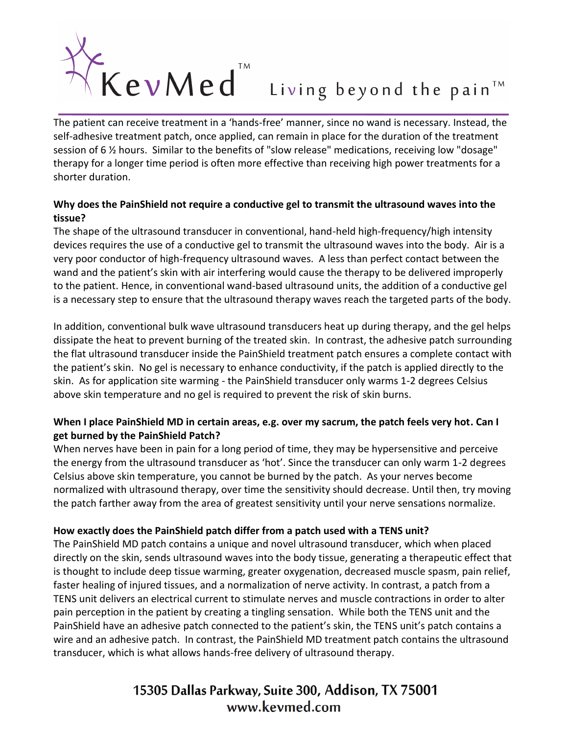

self-adhesive treatment patch, once applied, can remain in place for the duration of the treatment session of 6 ½ hours. Similar to the benefits of "slow release" medications, receiving low "dosage" therapy for a longer time period is often more effective than receiving high power treatments for a shorter duration.

#### **Why does the PainShield not require a conductive gel to transmit the ultrasound waves into the tissue?**

The shape of the ultrasound transducer in conventional, hand-held high-frequency/high intensity devices requires the use of a conductive gel to transmit the ultrasound waves into the body. Air is a very poor conductor of high-frequency ultrasound waves. A less than perfect contact between the wand and the patient's skin with air interfering would cause the therapy to be delivered improperly to the patient. Hence, in conventional wand-based ultrasound units, the addition of a conductive gel is a necessary step to ensure that the ultrasound therapy waves reach the targeted parts of the body.

In addition, conventional bulk wave ultrasound transducers heat up during therapy, and the gel helps dissipate the heat to prevent burning of the treated skin. In contrast, the adhesive patch surrounding the flat ultrasound transducer inside the PainShield treatment patch ensures a complete contact with the patient's skin. No gel is necessary to enhance conductivity, if the patch is applied directly to the skin. As for application site warming - the PainShield transducer only warms 1-2 degrees Celsius above skin temperature and no gel is required to prevent the risk of skin burns.

### **When I place PainShield MD in certain areas, e.g. over my sacrum, the patch feels very hot. Can I get burned by the PainShield Patch?**

When nerves have been in pain for a long period of time, they may be hypersensitive and perceive the energy from the ultrasound transducer as 'hot'. Since the transducer can only warm 1-2 degrees Celsius above skin temperature, you cannot be burned by the patch. As your nerves become normalized with ultrasound therapy, over time the sensitivity should decrease. Until then, try moving the patch farther away from the area of greatest sensitivity until your nerve sensations normalize.

#### **How exactly does the PainShield patch differ from a patch used with a TENS unit?**

The PainShield MD patch contains a unique and novel ultrasound transducer, which when placed directly on the skin, sends ultrasound waves into the body tissue, generating a therapeutic effect that is thought to include deep tissue warming, greater oxygenation, decreased muscle spasm, pain relief, faster healing of injured tissues, and a normalization of nerve activity. In contrast, a patch from a TENS unit delivers an electrical current to stimulate nerves and muscle contractions in order to alter pain perception in the patient by creating a tingling sensation. While both the TENS unit and the PainShield have an adhesive patch connected to the patient's skin, the TENS unit's patch contains a wire and an adhesive patch. In contrast, the PainShield MD treatment patch contains the ultrasound transducer, which is what allows hands-free delivery of ultrasound therapy.